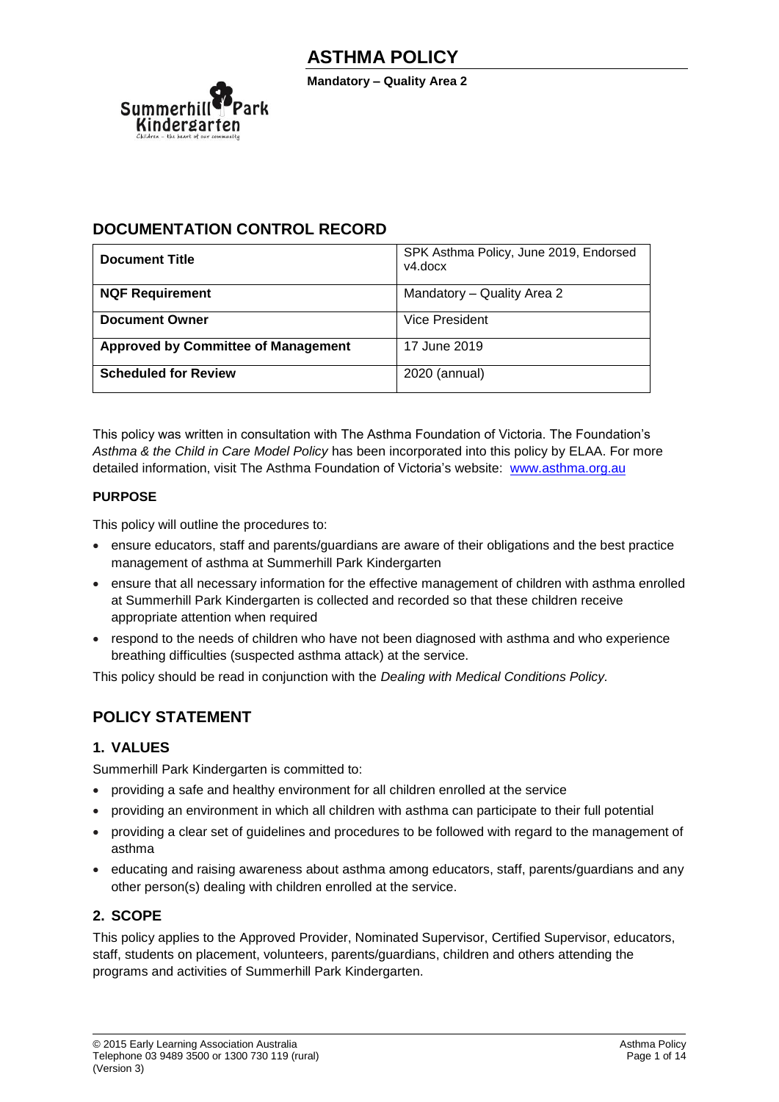

**Mandatory – Quality Area 2**

## **DOCUMENTATION CONTROL RECORD**

| <b>Document Title</b>                      | SPK Asthma Policy, June 2019, Endorsed<br>v4.docx |
|--------------------------------------------|---------------------------------------------------|
| <b>NQF Requirement</b>                     | Mandatory - Quality Area 2                        |
| <b>Document Owner</b>                      | Vice President                                    |
| <b>Approved by Committee of Management</b> | 17 June 2019                                      |
| <b>Scheduled for Review</b>                | 2020 (annual)                                     |

This policy was written in consultation with The Asthma Foundation of Victoria. The Foundation's *Asthma & the Child in Care Model Policy* has been incorporated into this policy by ELAA. For more detailed information, visit The Asthma Foundation of Victoria's website: [www.asthma.org.au](http://www.asthma.org.au/)

### **PURPOSE**

This policy will outline the procedures to:

- ensure educators, staff and parents/guardians are aware of their obligations and the best practice management of asthma at Summerhill Park Kindergarten
- ensure that all necessary information for the effective management of children with asthma enrolled at Summerhill Park Kindergarten is collected and recorded so that these children receive appropriate attention when required
- respond to the needs of children who have not been diagnosed with asthma and who experience breathing difficulties (suspected asthma attack) at the service.

This policy should be read in conjunction with the *Dealing with Medical Conditions Policy.*

## **POLICY STATEMENT**

### **1. VALUES**

Summerhill Park Kindergarten is committed to:

- providing a safe and healthy environment for all children enrolled at the service
- providing an environment in which all children with asthma can participate to their full potential
- providing a clear set of guidelines and procedures to be followed with regard to the management of asthma
- educating and raising awareness about asthma among educators, staff, parents/guardians and any other person(s) dealing with children enrolled at the service.

### **2. SCOPE**

This policy applies to the Approved Provider, Nominated Supervisor, Certified Supervisor, educators, staff, students on placement, volunteers, parents/guardians, children and others attending the programs and activities of Summerhill Park Kindergarten.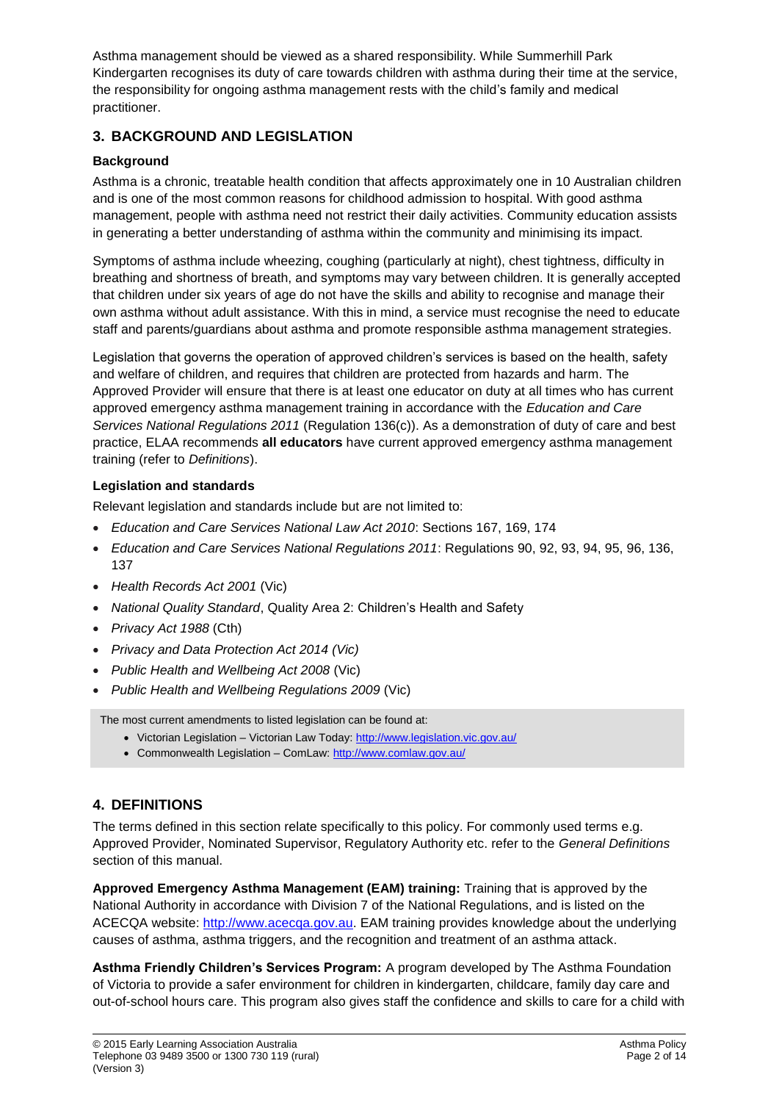Asthma management should be viewed as a shared responsibility. While Summerhill Park Kindergarten recognises its duty of care towards children with asthma during their time at the service, the responsibility for ongoing asthma management rests with the child's family and medical practitioner.

## **3. BACKGROUND AND LEGISLATION**

### **Background**

Asthma is a chronic, treatable health condition that affects approximately one in 10 Australian children and is one of the most common reasons for childhood admission to hospital. With good asthma management, people with asthma need not restrict their daily activities. Community education assists in generating a better understanding of asthma within the community and minimising its impact.

Symptoms of asthma include wheezing, coughing (particularly at night), chest tightness, difficulty in breathing and shortness of breath, and symptoms may vary between children. It is generally accepted that children under six years of age do not have the skills and ability to recognise and manage their own asthma without adult assistance. With this in mind, a service must recognise the need to educate staff and parents/guardians about asthma and promote responsible asthma management strategies.

Legislation that governs the operation of approved children's services is based on the health, safety and welfare of children, and requires that children are protected from hazards and harm. The Approved Provider will ensure that there is at least one educator on duty at all times who has current approved emergency asthma management training in accordance with the *Education and Care Services National Regulations 2011* (Regulation 136(c)). As a demonstration of duty of care and best practice, ELAA recommends **all educators** have current approved emergency asthma management training (refer to *Definitions*).

### **Legislation and standards**

Relevant legislation and standards include but are not limited to:

- *Education and Care Services National Law Act 2010*: Sections 167, 169, 174
- *Education and Care Services National Regulations 2011*: Regulations 90, 92, 93, 94, 95, 96, 136, 137
- *Health Records Act 2001* (Vic)
- *National Quality Standard*, Quality Area 2: Children's Health and Safety
- *Privacy Act 1988* (Cth)
- *Privacy and Data Protection Act 2014 (Vic)*
- *Public Health and Wellbeing Act 2008* (Vic)
- *Public Health and Wellbeing Regulations 2009* (Vic)

The most current amendments to listed legislation can be found at:

- Victorian Legislation Victorian Law Today:<http://www.legislation.vic.gov.au/>
- Commonwealth Legislation ComLaw[: http://www.comlaw.gov.au/](http://www.comlaw.gov.au/)

## **4. DEFINITIONS**

The terms defined in this section relate specifically to this policy. For commonly used terms e.g. Approved Provider, Nominated Supervisor, Regulatory Authority etc. refer to the *General Definitions* section of this manual.

**Approved Emergency Asthma Management (EAM) training:** Training that is approved by the National Authority in accordance with Division 7 of the National Regulations, and is listed on the ACECQA website: [http://www.acecqa.gov.au.](http://www.acecqa.gov.au/) EAM training provides knowledge about the underlying causes of asthma, asthma triggers, and the recognition and treatment of an asthma attack.

**Asthma Friendly Children's Services Program:** A program developed by The Asthma Foundation of Victoria to provide a safer environment for children in kindergarten, childcare, family day care and out-of-school hours care. This program also gives staff the confidence and skills to care for a child with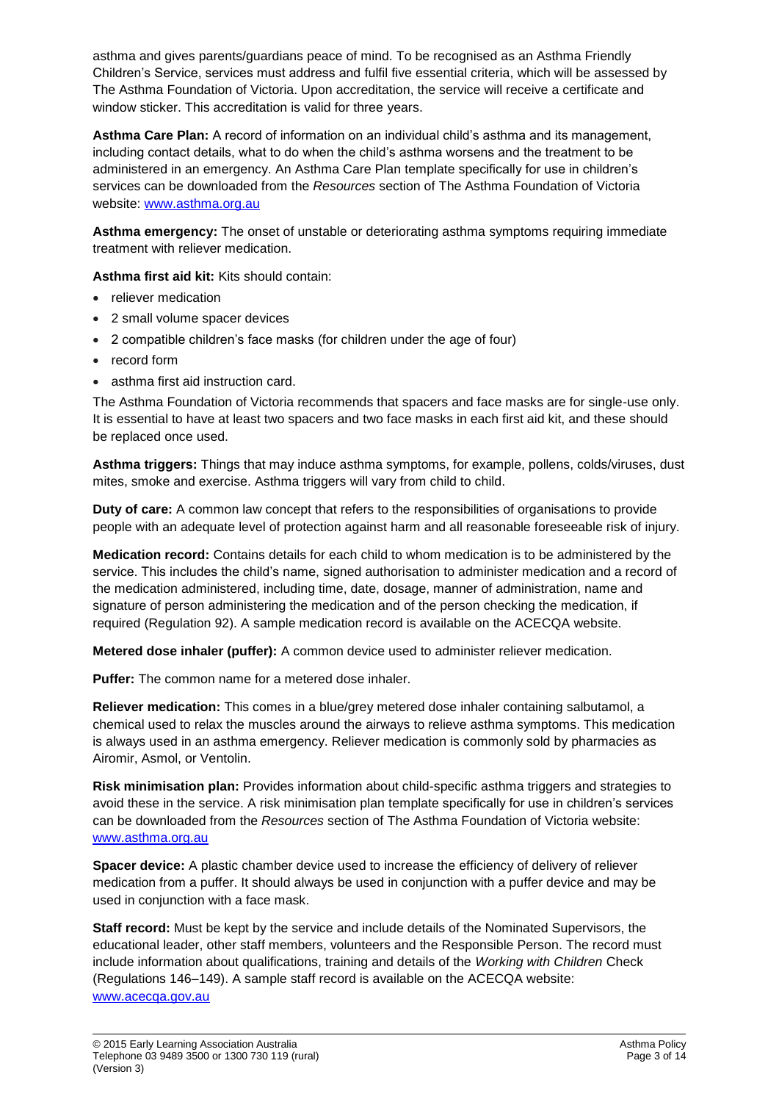asthma and gives parents/guardians peace of mind. To be recognised as an Asthma Friendly Children's Service, services must address and fulfil five essential criteria, which will be assessed by The Asthma Foundation of Victoria. Upon accreditation, the service will receive a certificate and window sticker. This accreditation is valid for three years.

**Asthma Care Plan:** A record of information on an individual child's asthma and its management, including contact details, what to do when the child's asthma worsens and the treatment to be administered in an emergency. An Asthma Care Plan template specifically for use in children's services can be downloaded from the *Resources* section of The Asthma Foundation of Victoria website: [www.asthma.org.au](http://www.asthma.org.au/)

**Asthma emergency:** The onset of unstable or deteriorating asthma symptoms requiring immediate treatment with reliever medication.

**Asthma first aid kit:** Kits should contain:

- reliever medication
- 2 small volume spacer devices
- 2 compatible children's face masks (for children under the age of four)
- record form
- asthma first aid instruction card.

The Asthma Foundation of Victoria recommends that spacers and face masks are for single-use only. It is essential to have at least two spacers and two face masks in each first aid kit, and these should be replaced once used.

**Asthma triggers:** Things that may induce asthma symptoms, for example, pollens, colds/viruses, dust mites, smoke and exercise. Asthma triggers will vary from child to child.

**Duty of care:** A common law concept that refers to the responsibilities of organisations to provide people with an adequate level of protection against harm and all reasonable foreseeable risk of injury.

**Medication record:** Contains details for each child to whom medication is to be administered by the service. This includes the child's name, signed authorisation to administer medication and a record of the medication administered, including time, date, dosage, manner of administration, name and signature of person administering the medication and of the person checking the medication, if required (Regulation 92). A sample medication record is available on the ACECQA website.

**Metered dose inhaler (puffer):** A common device used to administer reliever medication.

**Puffer:** The common name for a metered dose inhaler.

**Reliever medication:** This comes in a blue/grey metered dose inhaler containing salbutamol, a chemical used to relax the muscles around the airways to relieve asthma symptoms. This medication is always used in an asthma emergency. Reliever medication is commonly sold by pharmacies as Airomir, Asmol, or Ventolin.

**Risk minimisation plan:** Provides information about child-specific asthma triggers and strategies to avoid these in the service. A risk minimisation plan template specifically for use in children's services can be downloaded from the *Resources* section of The Asthma Foundation of Victoria website: [www.asthma.org.au](http://www.asthma.org.au/)

**Spacer device:** A plastic chamber device used to increase the efficiency of delivery of reliever medication from a puffer. It should always be used in conjunction with a puffer device and may be used in conjunction with a face mask.

**Staff record:** Must be kept by the service and include details of the Nominated Supervisors, the educational leader, other staff members, volunteers and the Responsible Person. The record must include information about qualifications, training and details of the *Working with Children* Check (Regulations 146–149). A sample staff record is available on the ACECQA website: [www.acecqa.gov.au](http://www.acecqa.gov.au/)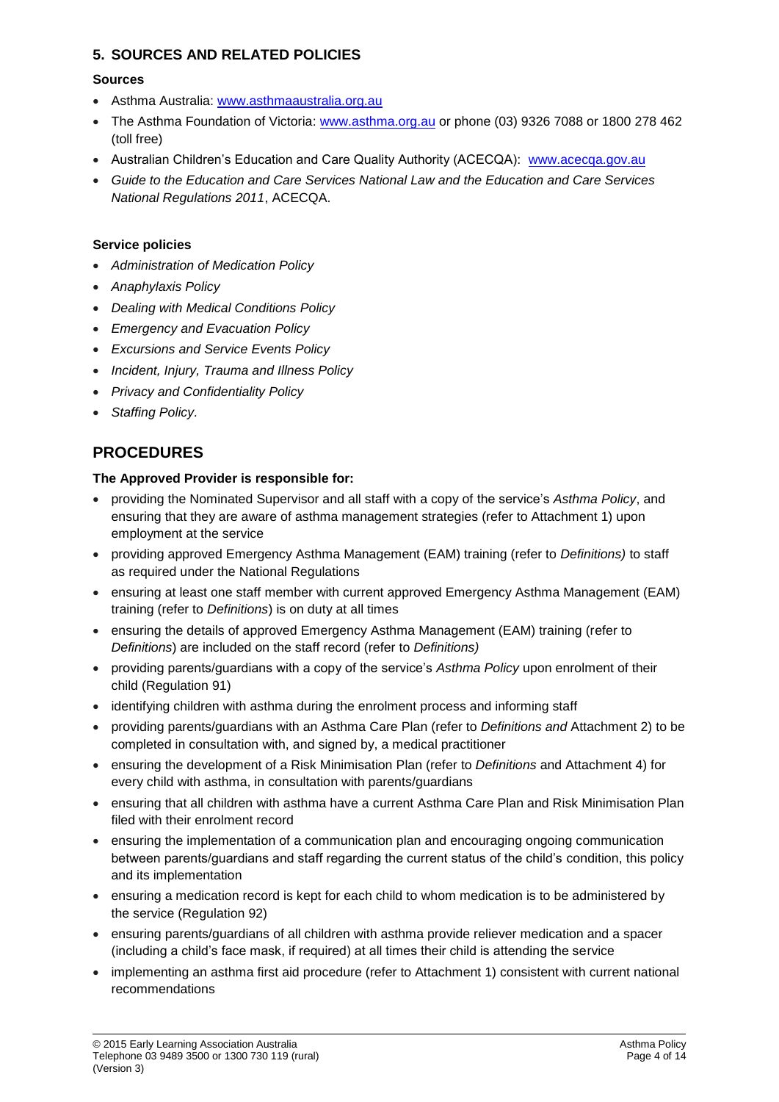### **5. SOURCES AND RELATED POLICIES**

### **Sources**

- Asthma Australia: [www.asthmaaustralia.org.au](http://www.asthmaaustralia.org.au/)
- The Asthma Foundation of Victoria: [www.asthma.org.au](http://www.asthma.org.au/) or phone (03) 9326 7088 or 1800 278 462 (toll free)
- Australian Children's Education and Care Quality Authority (ACECQA): [www.acecqa.gov.au](http://www.acecqa.gov.au/)
- *Guide to the Education and Care Services National Law and the Education and Care Services National Regulations 2011*, ACECQA.

### **Service policies**

- *Administration of Medication Policy*
- *Anaphylaxis Policy*
- *Dealing with Medical Conditions Policy*
- *Emergency and Evacuation Policy*
- *Excursions and Service Events Policy*
- *Incident, Injury, Trauma and Illness Policy*
- *Privacy and Confidentiality Policy*
- *Staffing Policy.*

## **PROCEDURES**

### **The Approved Provider is responsible for:**

- providing the Nominated Supervisor and all staff with a copy of the service's *Asthma Policy*, and ensuring that they are aware of asthma management strategies (refer to Attachment 1) upon employment at the service
- providing approved Emergency Asthma Management (EAM) training (refer to *Definitions)* to staff as required under the National Regulations
- ensuring at least one staff member with current approved Emergency Asthma Management (EAM) training (refer to *Definitions*) is on duty at all times
- ensuring the details of approved Emergency Asthma Management (EAM) training (refer to *Definitions*) are included on the staff record (refer to *Definitions)*
- providing parents/guardians with a copy of the service's *Asthma Policy* upon enrolment of their child (Regulation 91)
- identifying children with asthma during the enrolment process and informing staff
- providing parents/guardians with an Asthma Care Plan (refer to *Definitions and* Attachment 2) to be completed in consultation with, and signed by, a medical practitioner
- ensuring the development of a Risk Minimisation Plan (refer to *Definitions* and Attachment 4) for every child with asthma, in consultation with parents/guardians
- ensuring that all children with asthma have a current Asthma Care Plan and Risk Minimisation Plan filed with their enrolment record
- ensuring the implementation of a communication plan and encouraging ongoing communication between parents/guardians and staff regarding the current status of the child's condition, this policy and its implementation
- ensuring a medication record is kept for each child to whom medication is to be administered by the service (Regulation 92)
- ensuring parents/guardians of all children with asthma provide reliever medication and a spacer (including a child's face mask, if required) at all times their child is attending the service
- implementing an asthma first aid procedure (refer to Attachment 1) consistent with current national recommendations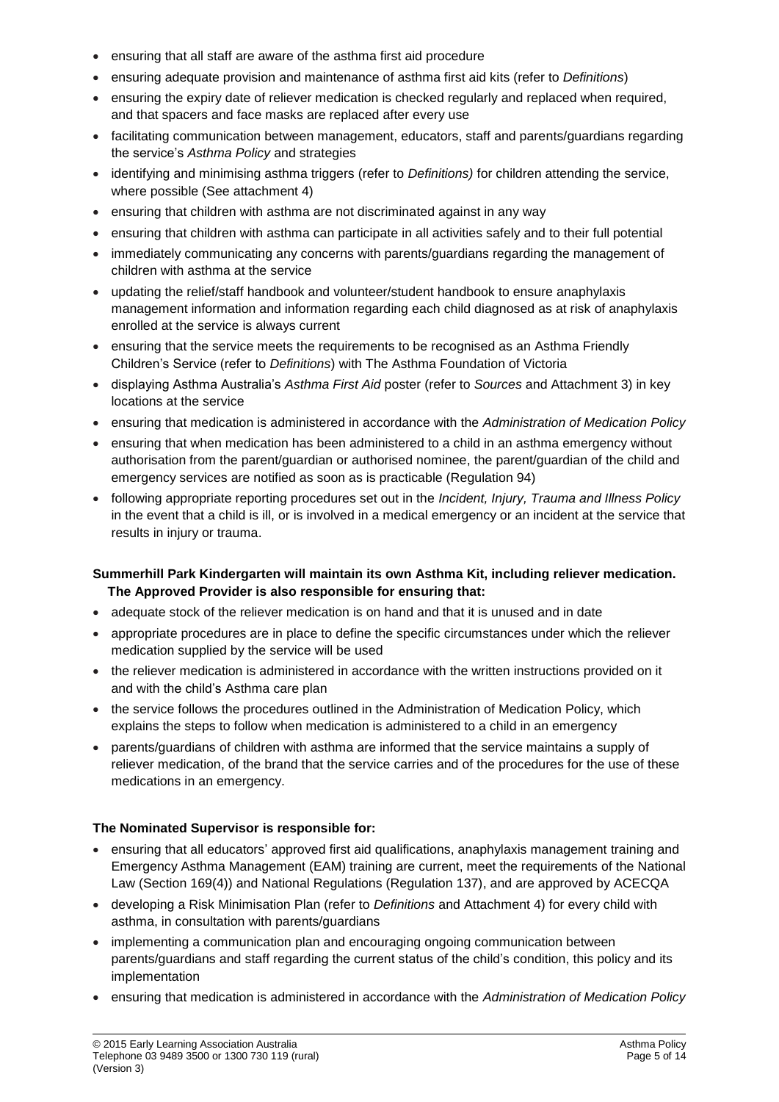- ensuring that all staff are aware of the asthma first aid procedure
- ensuring adequate provision and maintenance of asthma first aid kits (refer to *Definitions*)
- ensuring the expiry date of reliever medication is checked regularly and replaced when required, and that spacers and face masks are replaced after every use
- facilitating communication between management, educators, staff and parents/guardians regarding the service's *Asthma Policy* and strategies
- identifying and minimising asthma triggers (refer to *Definitions)* for children attending the service, where possible (See attachment 4)
- ensuring that children with asthma are not discriminated against in any way
- ensuring that children with asthma can participate in all activities safely and to their full potential
- immediately communicating any concerns with parents/guardians regarding the management of children with asthma at the service
- updating the relief/staff handbook and volunteer/student handbook to ensure anaphylaxis management information and information regarding each child diagnosed as at risk of anaphylaxis enrolled at the service is always current
- ensuring that the service meets the requirements to be recognised as an Asthma Friendly Children's Service (refer to *Definitions*) with The Asthma Foundation of Victoria
- displaying Asthma Australia's *Asthma First Aid* poster (refer to *Sources* and Attachment 3) in key locations at the service
- ensuring that medication is administered in accordance with the *Administration of Medication Policy*
- ensuring that when medication has been administered to a child in an asthma emergency without authorisation from the parent/guardian or authorised nominee, the parent/guardian of the child and emergency services are notified as soon as is practicable (Regulation 94)
- following appropriate reporting procedures set out in the *Incident, Injury, Trauma and Illness Policy* in the event that a child is ill, or is involved in a medical emergency or an incident at the service that results in injury or trauma.

### **Summerhill Park Kindergarten will maintain its own Asthma Kit, including reliever medication. The Approved Provider is also responsible for ensuring that:**

- adequate stock of the reliever medication is on hand and that it is unused and in date
- appropriate procedures are in place to define the specific circumstances under which the reliever medication supplied by the service will be used
- the reliever medication is administered in accordance with the written instructions provided on it and with the child's Asthma care plan
- the service follows the procedures outlined in the Administration of Medication Policy, which explains the steps to follow when medication is administered to a child in an emergency
- parents/guardians of children with asthma are informed that the service maintains a supply of reliever medication, of the brand that the service carries and of the procedures for the use of these medications in an emergency.

### **The Nominated Supervisor is responsible for:**

- ensuring that all educators' approved first aid qualifications, anaphylaxis management training and Emergency Asthma Management (EAM) training are current, meet the requirements of the National Law (Section 169(4)) and National Regulations (Regulation 137), and are approved by ACECQA
- developing a Risk Minimisation Plan (refer to *Definitions* and Attachment 4) for every child with asthma, in consultation with parents/guardians
- implementing a communication plan and encouraging ongoing communication between parents/guardians and staff regarding the current status of the child's condition, this policy and its implementation
- ensuring that medication is administered in accordance with the *Administration of Medication Policy*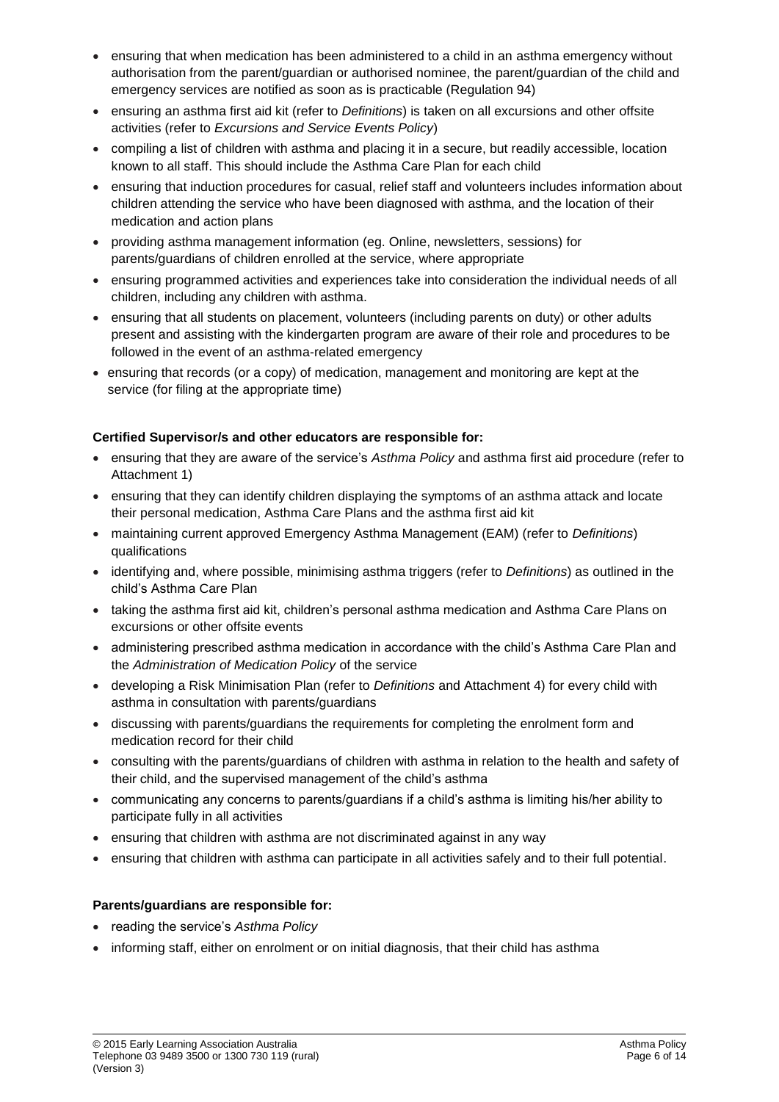- ensuring that when medication has been administered to a child in an asthma emergency without authorisation from the parent/guardian or authorised nominee, the parent/guardian of the child and emergency services are notified as soon as is practicable (Regulation 94)
- ensuring an asthma first aid kit (refer to *Definitions*) is taken on all excursions and other offsite activities (refer to *Excursions and Service Events Policy*)
- compiling a list of children with asthma and placing it in a secure, but readily accessible, location known to all staff. This should include the Asthma Care Plan for each child
- ensuring that induction procedures for casual, relief staff and volunteers includes information about children attending the service who have been diagnosed with asthma, and the location of their medication and action plans
- providing asthma management information (eg. Online, newsletters, sessions) for parents/guardians of children enrolled at the service, where appropriate
- ensuring programmed activities and experiences take into consideration the individual needs of all children, including any children with asthma.
- ensuring that all students on placement, volunteers (including parents on duty) or other adults present and assisting with the kindergarten program are aware of their role and procedures to be followed in the event of an asthma-related emergency
- ensuring that records (or a copy) of medication, management and monitoring are kept at the service (for filing at the appropriate time)

### **Certified Supervisor/s and other educators are responsible for:**

- ensuring that they are aware of the service's *Asthma Policy* and asthma first aid procedure (refer to Attachment 1)
- ensuring that they can identify children displaying the symptoms of an asthma attack and locate their personal medication, Asthma Care Plans and the asthma first aid kit
- maintaining current approved Emergency Asthma Management (EAM) (refer to *Definitions*) qualifications
- identifying and, where possible, minimising asthma triggers (refer to *Definitions*) as outlined in the child's Asthma Care Plan
- taking the asthma first aid kit, children's personal asthma medication and Asthma Care Plans on excursions or other offsite events
- administering prescribed asthma medication in accordance with the child's Asthma Care Plan and the *Administration of Medication Policy* of the service
- developing a Risk Minimisation Plan (refer to *Definitions* and Attachment 4) for every child with asthma in consultation with parents/guardians
- discussing with parents/guardians the requirements for completing the enrolment form and medication record for their child
- consulting with the parents/guardians of children with asthma in relation to the health and safety of their child, and the supervised management of the child's asthma
- communicating any concerns to parents/guardians if a child's asthma is limiting his/her ability to participate fully in all activities
- ensuring that children with asthma are not discriminated against in any way
- ensuring that children with asthma can participate in all activities safely and to their full potential.

### **Parents/guardians are responsible for:**

- reading the service's *Asthma Policy*
- informing staff, either on enrolment or on initial diagnosis, that their child has asthma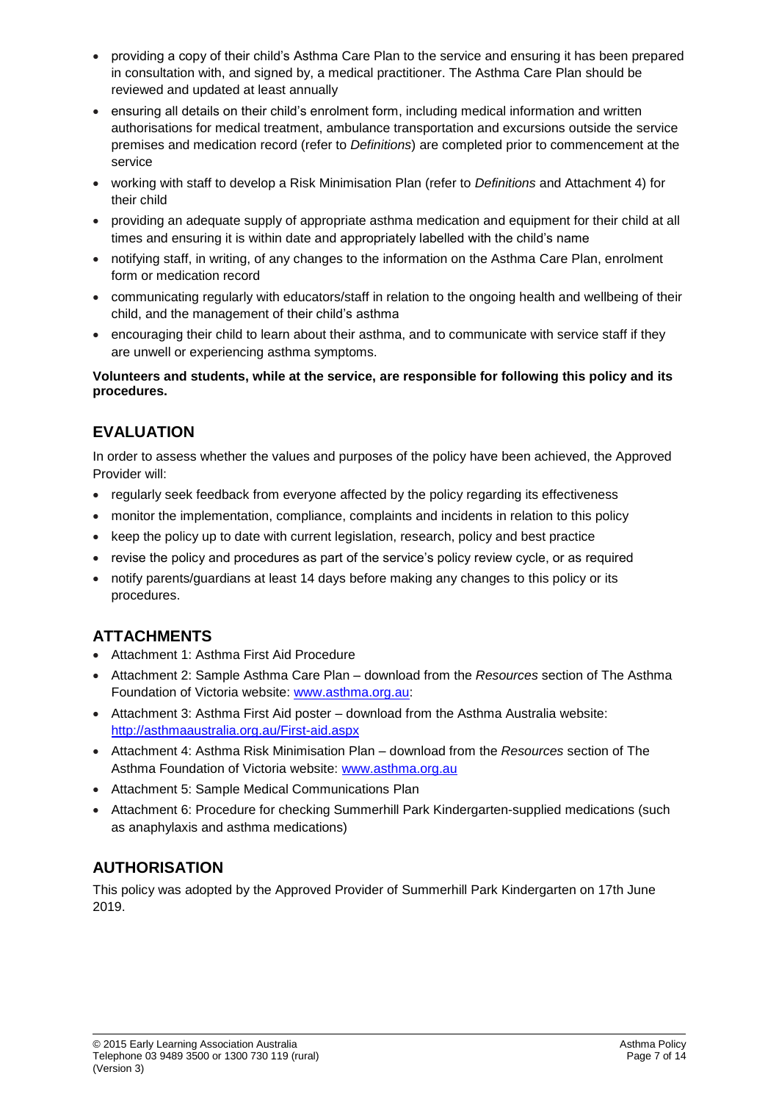- providing a copy of their child's Asthma Care Plan to the service and ensuring it has been prepared in consultation with, and signed by, a medical practitioner. The Asthma Care Plan should be reviewed and updated at least annually
- ensuring all details on their child's enrolment form, including medical information and written authorisations for medical treatment, ambulance transportation and excursions outside the service premises and medication record (refer to *Definitions*) are completed prior to commencement at the service
- working with staff to develop a Risk Minimisation Plan (refer to *Definitions* and Attachment 4) for their child
- providing an adequate supply of appropriate asthma medication and equipment for their child at all times and ensuring it is within date and appropriately labelled with the child's name
- notifying staff, in writing, of any changes to the information on the Asthma Care Plan, enrolment form or medication record
- communicating regularly with educators/staff in relation to the ongoing health and wellbeing of their child, and the management of their child's asthma
- encouraging their child to learn about their asthma, and to communicate with service staff if they are unwell or experiencing asthma symptoms.

### **Volunteers and students, while at the service, are responsible for following this policy and its procedures.**

# **EVALUATION**

In order to assess whether the values and purposes of the policy have been achieved, the Approved Provider will:

- regularly seek feedback from everyone affected by the policy regarding its effectiveness
- monitor the implementation, compliance, complaints and incidents in relation to this policy
- keep the policy up to date with current legislation, research, policy and best practice
- revise the policy and procedures as part of the service's policy review cycle, or as required
- notify parents/guardians at least 14 days before making any changes to this policy or its procedures.

# **ATTACHMENTS**

- Attachment 1: Asthma First Aid Procedure
- Attachment 2: Sample Asthma Care Plan download from the *Resources* section of The Asthma Foundation of Victoria website: [www.asthma.org.au:](http://www.asthma.org.au/)
- Attachment 3: Asthma First Aid poster download from the Asthma Australia website: <http://asthmaaustralia.org.au/First-aid.aspx>
- Attachment 4: Asthma Risk Minimisation Plan download from the *Resources* section of The Asthma Foundation of Victoria website: [www.asthma.org.au](http://www.asthma.org.au/)
- Attachment 5: Sample Medical Communications Plan
- Attachment 6: Procedure for checking Summerhill Park Kindergarten-supplied medications (such as anaphylaxis and asthma medications)

# **AUTHORISATION**

This policy was adopted by the Approved Provider of Summerhill Park Kindergarten on 17th June 2019.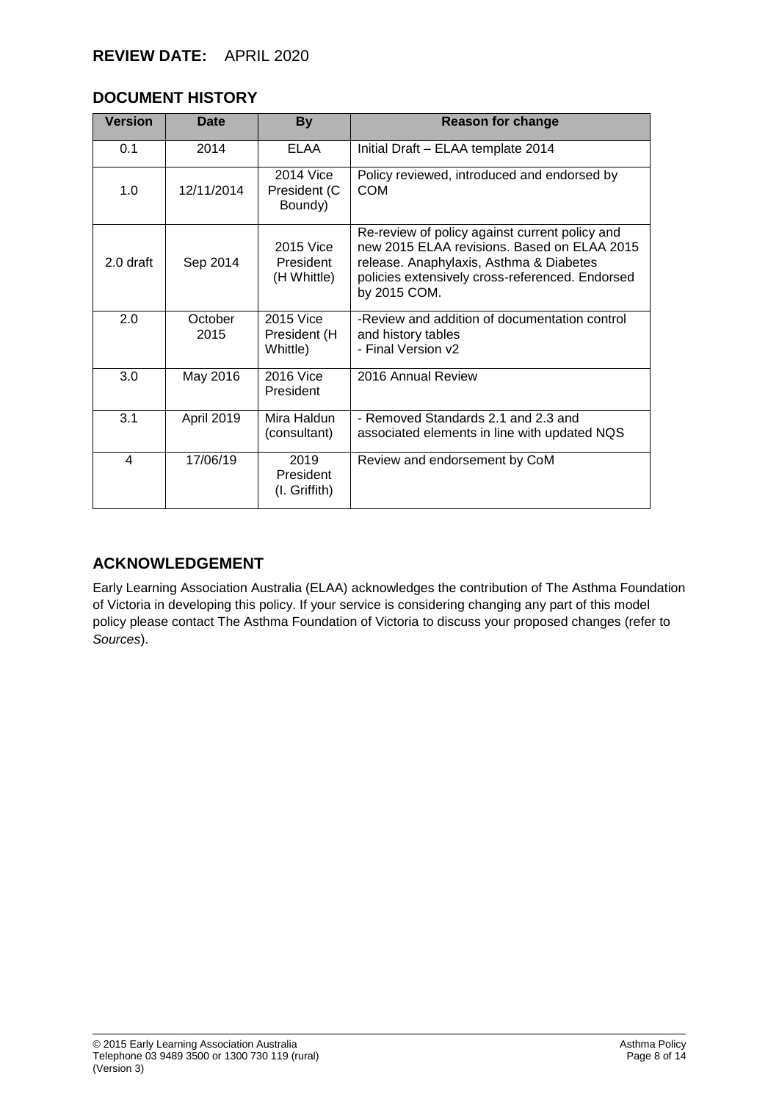## **DOCUMENT HISTORY**

| <b>Version</b> | Date              | <b>By</b>                             | <b>Reason for change</b>                                                                                                                                                                                    |
|----------------|-------------------|---------------------------------------|-------------------------------------------------------------------------------------------------------------------------------------------------------------------------------------------------------------|
| 0.1            | 2014              | <b>ELAA</b>                           | Initial Draft - ELAA template 2014                                                                                                                                                                          |
| 1.0            | 12/11/2014        | 2014 Vice<br>President (C<br>Boundy)  | Policy reviewed, introduced and endorsed by<br><b>COM</b>                                                                                                                                                   |
| 2.0 draft      | Sep 2014          | 2015 Vice<br>President<br>(H Whittle) | Re-review of policy against current policy and<br>new 2015 ELAA revisions. Based on ELAA 2015<br>release. Anaphylaxis, Asthma & Diabetes<br>policies extensively cross-referenced. Endorsed<br>by 2015 COM. |
| 2.0            | October<br>2015   | 2015 Vice<br>President (H<br>Whittle) | -Review and addition of documentation control<br>and history tables<br>- Final Version v2                                                                                                                   |
| 3.0            | May 2016          | 2016 Vice<br>President                | 2016 Annual Review                                                                                                                                                                                          |
| 3.1            | <b>April 2019</b> | Mira Haldun<br>(consultant)           | - Removed Standards 2.1 and 2.3 and<br>associated elements in line with updated NQS                                                                                                                         |
| 4              | 17/06/19          | 2019<br>President<br>(I. Griffith)    | Review and endorsement by CoM                                                                                                                                                                               |

## **ACKNOWLEDGEMENT**

Early Learning Association Australia (ELAA) acknowledges the contribution of The Asthma Foundation of Victoria in developing this policy. If your service is considering changing any part of this model policy please contact The Asthma Foundation of Victoria to discuss your proposed changes (refer to *Sources*).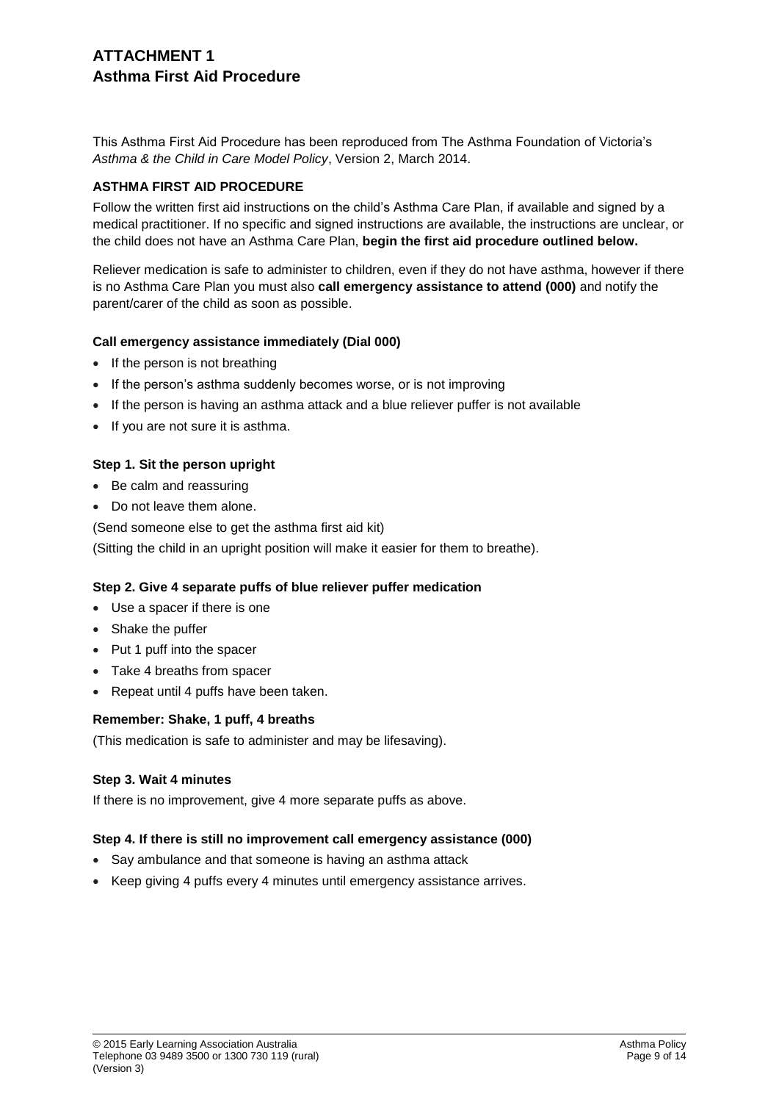## **ATTACHMENT 1 Asthma First Aid Procedure**

This Asthma First Aid Procedure has been reproduced from The Asthma Foundation of Victoria's *Asthma & the Child in Care Model Policy*, Version 2, March 2014.

### **ASTHMA FIRST AID PROCEDURE**

Follow the written first aid instructions on the child's Asthma Care Plan, if available and signed by a medical practitioner. If no specific and signed instructions are available, the instructions are unclear, or the child does not have an Asthma Care Plan, **begin the first aid procedure outlined below.**

Reliever medication is safe to administer to children, even if they do not have asthma, however if there is no Asthma Care Plan you must also **call emergency assistance to attend (000)** and notify the parent/carer of the child as soon as possible.

### **Call emergency assistance immediately (Dial 000)**

- If the person is not breathing
- If the person's asthma suddenly becomes worse, or is not improving
- If the person is having an asthma attack and a blue reliever puffer is not available
- If you are not sure it is asthma.

### **Step 1. Sit the person upright**

- Be calm and reassuring
- Do not leave them alone.

(Send someone else to get the asthma first aid kit)

(Sitting the child in an upright position will make it easier for them to breathe).

### **Step 2. Give 4 separate puffs of blue reliever puffer medication**

- Use a spacer if there is one
- Shake the puffer
- Put 1 puff into the spacer
- Take 4 breaths from spacer
- Repeat until 4 puffs have been taken.

### **Remember: Shake, 1 puff, 4 breaths**

(This medication is safe to administer and may be lifesaving).

### **Step 3. Wait 4 minutes**

If there is no improvement, give 4 more separate puffs as above.

### **Step 4. If there is still no improvement call emergency assistance (000)**

- Say ambulance and that someone is having an asthma attack
- Keep giving 4 puffs every 4 minutes until emergency assistance arrives.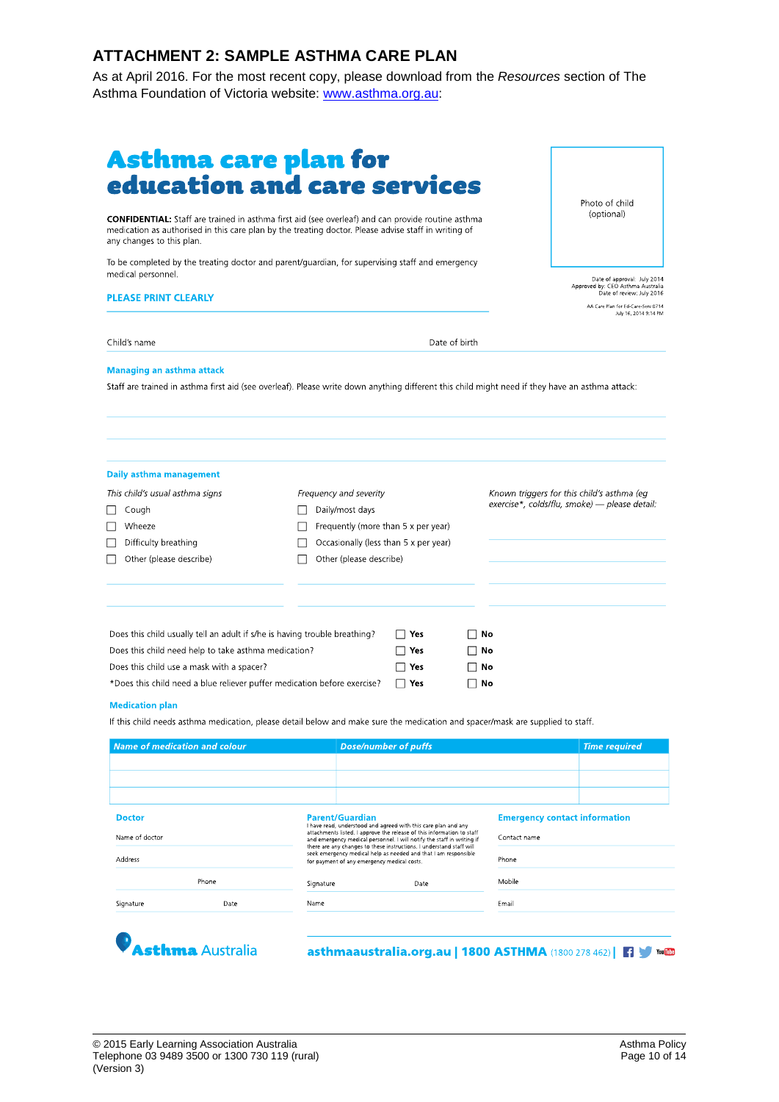# **ATTACHMENT 2: SAMPLE ASTHMA CARE PLAN**

As at April 2016. For the most recent copy, please download from the *Resources* section of The Asthma Foundation of Victoria website: [www.asthma.org.au:](http://www.asthma.org.au/)

| <b>Asthma care plan for<br/>education and care services</b><br><b>CONFIDENTIAL:</b> Staff are trained in asthma first aid (see overleaf) and can provide routine asthma<br>medication as authorised in this care plan by the treating doctor. Please advise staff in writing of<br>any changes to this plan.  |                                                                                                                                                                 |                                        |                     | Photo of child<br>(optional)                                                                  |
|---------------------------------------------------------------------------------------------------------------------------------------------------------------------------------------------------------------------------------------------------------------------------------------------------------------|-----------------------------------------------------------------------------------------------------------------------------------------------------------------|----------------------------------------|---------------------|-----------------------------------------------------------------------------------------------|
| To be completed by the treating doctor and parent/guardian, for supervising staff and emergency<br>medical personnel.                                                                                                                                                                                         |                                                                                                                                                                 |                                        |                     |                                                                                               |
|                                                                                                                                                                                                                                                                                                               |                                                                                                                                                                 |                                        |                     | Date of approval: July 2014<br>Approved by: CEO Asthma Australia<br>Date of review: July 2016 |
| <b>PLEASE PRINT CLEARLY</b>                                                                                                                                                                                                                                                                                   |                                                                                                                                                                 |                                        |                     | AA Care Plan for Ed-Care-Serv 0714<br>July 16, 2014 9:14 PM                                   |
| Child's name                                                                                                                                                                                                                                                                                                  |                                                                                                                                                                 |                                        | Date of birth       |                                                                                               |
|                                                                                                                                                                                                                                                                                                               |                                                                                                                                                                 |                                        |                     |                                                                                               |
|                                                                                                                                                                                                                                                                                                               |                                                                                                                                                                 |                                        |                     |                                                                                               |
|                                                                                                                                                                                                                                                                                                               |                                                                                                                                                                 |                                        |                     |                                                                                               |
| Cough<br>Wheeze<br>Difficulty breathing<br>Other (please describe)                                                                                                                                                                                                                                            | Frequency and severity<br>Daily/most days<br>$\perp$<br>Frequently (more than 5 x per year)<br>Occasionally (less than 5 x per year)<br>Other (please describe) |                                        |                     | Known triggers for this child's asthma (eg<br>exercise*, colds/flu, smoke) — please detail:   |
| Does this child usually tell an adult if s/he is having trouble breathing?<br>Does this child need help to take asthma medication?<br>Does this child use a mask with a spacer?                                                                                                                               |                                                                                                                                                                 | $\Box$ Yes<br>$\Box$ Yes<br>$\Box$ Yes | ΠNo<br>Π No<br>Π No |                                                                                               |
| Daily asthma management<br>This child's usual asthma signs<br>$\perp$<br>*Does this child need a blue reliever puffer medication before exercise?<br><b>Medication plan</b><br>If this child needs asthma medication, please detail below and make sure the medication and spacer/mask are supplied to staff. |                                                                                                                                                                 | $\Box$ Yes                             | ⊟ No                |                                                                                               |

| <b>Doctor</b><br>Name of doctor |                       | <b>Parent/Guardian</b><br>I have read, understood and agreed with this care plan and any<br>attachments listed. I approve the release of this information to staff<br>and emergency medical personnel. I will notify the staff in writing if<br>there are any changes to these instructions. I understand staff will<br>seek emergency medical help as needed and that I am responsible<br>for payment of any emergency medical costs. |                                                     | <b>Emergency contact information</b><br>Contact name |         |
|---------------------------------|-----------------------|----------------------------------------------------------------------------------------------------------------------------------------------------------------------------------------------------------------------------------------------------------------------------------------------------------------------------------------------------------------------------------------------------------------------------------------|-----------------------------------------------------|------------------------------------------------------|---------|
| Address                         |                       |                                                                                                                                                                                                                                                                                                                                                                                                                                        |                                                     | Phone                                                |         |
|                                 | Phone                 | Signature                                                                                                                                                                                                                                                                                                                                                                                                                              | Date                                                | Mobile                                               |         |
| Signature                       | Date                  | Name                                                                                                                                                                                                                                                                                                                                                                                                                                   |                                                     | Email                                                |         |
|                                 | <b>thma</b> Australia |                                                                                                                                                                                                                                                                                                                                                                                                                                        | asthmaaustralia.org.au   1800 ASTHMA (1800 278 462) |                                                      | You Tub |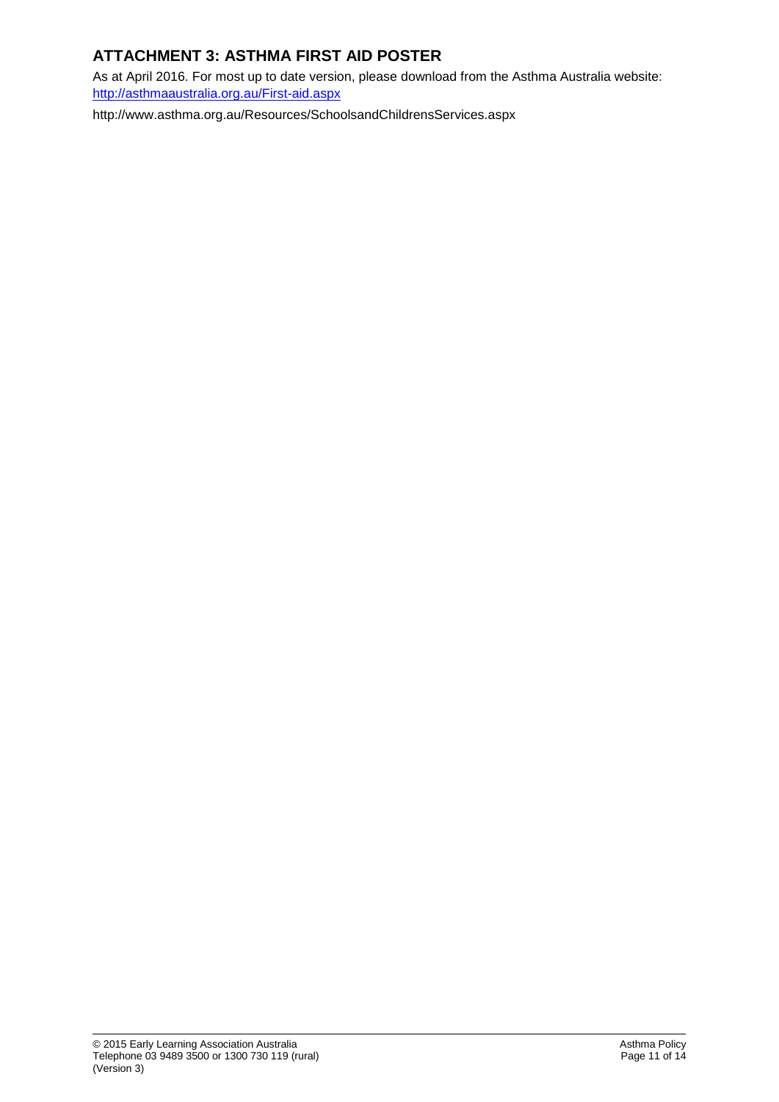# **ATTACHMENT 3: ASTHMA FIRST AID POSTER**

As at April 2016. For most up to date version, please download from the Asthma Australia website: <http://asthmaaustralia.org.au/First-aid.aspx>

http://www.asthma.org.au/Resources/SchoolsandChildrensServices.aspx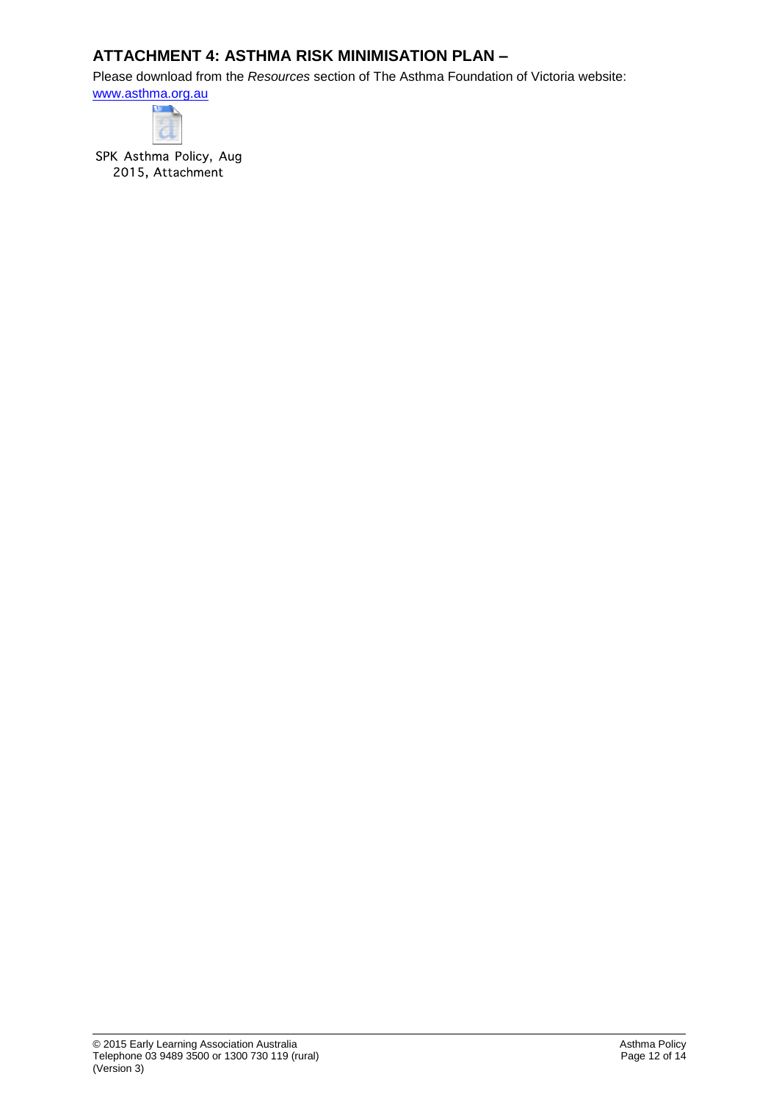## **ATTACHMENT 4: ASTHMA RISK MINIMISATION PLAN –**

Please download from the *Resources* section of The Asthma Foundation of Victoria website:

[www.asthma.org.au](http://www.asthma.org.au/)



SPK Asthma Policy, Aug 2015, Attachment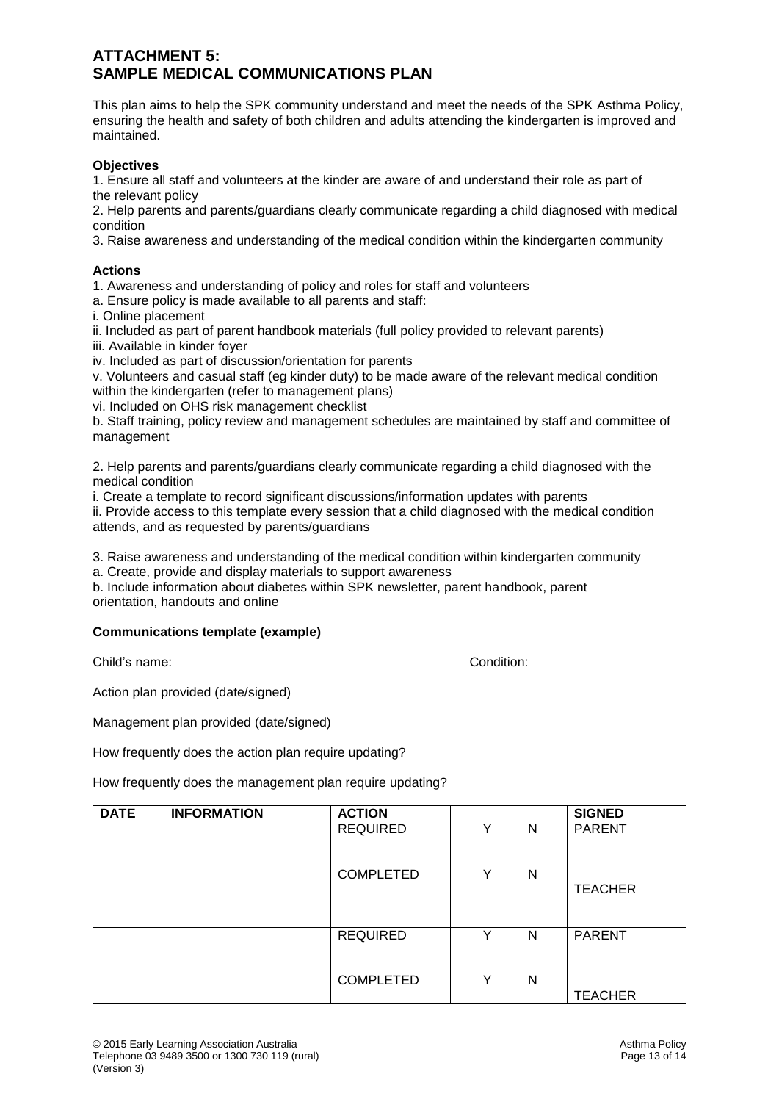### **ATTACHMENT 5: SAMPLE MEDICAL COMMUNICATIONS PLAN**

This plan aims to help the SPK community understand and meet the needs of the SPK Asthma Policy, ensuring the health and safety of both children and adults attending the kindergarten is improved and maintained.

### **Objectives**

1. Ensure all staff and volunteers at the kinder are aware of and understand their role as part of the relevant policy

2. Help parents and parents/guardians clearly communicate regarding a child diagnosed with medical condition

3. Raise awareness and understanding of the medical condition within the kindergarten community

### **Actions**

1. Awareness and understanding of policy and roles for staff and volunteers

a. Ensure policy is made available to all parents and staff:

i. Online placement

ii. Included as part of parent handbook materials (full policy provided to relevant parents)

iii. Available in kinder foyer

iv. Included as part of discussion/orientation for parents

v. Volunteers and casual staff (eg kinder duty) to be made aware of the relevant medical condition within the kindergarten (refer to management plans)

vi. Included on OHS risk management checklist

b. Staff training, policy review and management schedules are maintained by staff and committee of management

2. Help parents and parents/guardians clearly communicate regarding a child diagnosed with the medical condition

i. Create a template to record significant discussions/information updates with parents

ii. Provide access to this template every session that a child diagnosed with the medical condition attends, and as requested by parents/guardians

3. Raise awareness and understanding of the medical condition within kindergarten community

a. Create, provide and display materials to support awareness

b. Include information about diabetes within SPK newsletter, parent handbook, parent orientation, handouts and online

### **Communications template (example)**

Child's name: Condition:

Action plan provided (date/signed)

Management plan provided (date/signed)

How frequently does the action plan require updating?

How frequently does the management plan require updating?

| <b>DATE</b> | <b>INFORMATION</b> | <b>ACTION</b>    |   |   | <b>SIGNED</b>  |
|-------------|--------------------|------------------|---|---|----------------|
|             |                    | <b>REQUIRED</b>  | v | N | <b>PARENT</b>  |
|             |                    | <b>COMPLETED</b> | Y | N | <b>TEACHER</b> |
|             |                    | <b>REQUIRED</b>  | v | N | <b>PARENT</b>  |
|             |                    | <b>COMPLETED</b> | Y | N | <b>TEACHER</b> |